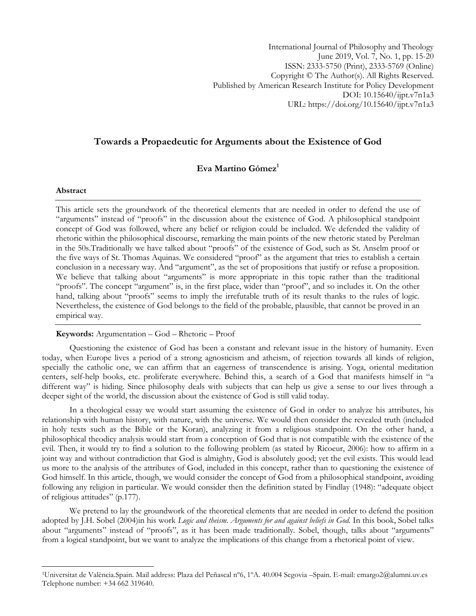# **Towards a Propaedeutic for Arguments about the Existence of God**

# **Eva Martino Gómez<sup>1</sup>**

#### **Abstract**

 $\overline{\phantom{a}}$ 

This article sets the groundwork of the theoretical elements that are needed in order to defend the use of "arguments" instead of "proofs" in the discussion about the existence of God. A philosophical standpoint concept of God was followed, where any belief or religion could be included. We defended the validity of rhetoric within the philosophical discourse, remarking the main points of the new rhetoric stated by Perelman in the 50s.Traditionally we have talked about "proofs" of the existence of God, such as St. Anselm proof or the five ways of St. Thomas Aquinas. We considered "proof" as the argument that tries to establish a certain conclusion in a necessary way. And "argument", as the set of propositions that justify or refuse a proposition. We believe that talking about "arguments" is more appropriate in this topic rather than the traditional "proofs". The concept "argument" is, in the first place, wider than "proof", and so includes it. On the other hand, talking about "proofs" seems to imply the irrefutable truth of its result thanks to the rules of logic. Nevertheless, the existence of God belongs to the field of the probable, plausible, that cannot be proved in an empirical way.

## **Keywords:** Argumentation – God – Rhetoric – Proof

Questioning the existence of God has been a constant and relevant issue in the history of humanity. Even today, when Europe lives a period of a strong agnosticism and atheism, of rejection towards all kinds of religion, specially the catholic one, we can affirm that an eagerness of transcendence is arising. Yoga, oriental meditation centers, self-help books, etc. proliferate everywhere. Behind this, a search of a God that manifests himself in "a different way" is hiding. Since philosophy deals with subjects that can help us give a sense to our lives through a deeper sight of the world, the discussion about the existence of God is still valid today.

In a theological essay we would start assuming the existence of God in order to analyze his attributes, his relationship with human history, with nature, with the universe. We would then consider the revealed truth (included in holy texts such as the Bible or the Koran), analyzing it from a religious standpoint. On the other hand, a philosophical theodicy analysis would start from a conception of God that is not compatible with the existence of the evil. Then, it would try to find a solution to the following problem (as stated by Ricoeur, 2006): how to affirm in a joint way and without contradiction that God is almighty, God is absolutely good; yet the evil exists. This would lead us more to the analysis of the attributes of God, included in this concept, rather than to questioning the existence of God himself. In this article, though, we would consider the concept of God from a philosophical standpoint, avoiding following any religion in particular. We would consider then the definition stated by Findlay (1948): "adequate object of religious attitudes" (p.177).

We pretend to lay the groundwork of the theoretical elements that are needed in order to defend the position adopted by J.H. Sobel (2004)in his work *Logic and theism. Arguments for and against beliefs in God.* In this book, Sobel talks about "arguments" instead of "proofs", as it has been made traditionally. Sobel, though, talks about "arguments" from a logical standpoint, but we want to analyze the implications of this change from a rhetorical point of view.

<sup>1</sup>Universitat de València.Spain. Mail address: Plaza del Peñascal nº6, 1ºA. 40.004 Segovia –Spain. E-mail: [emargo2@alumni.uv.es](mailto:emargo2@alumni.uv.es) Telephone number: +34 662 319640.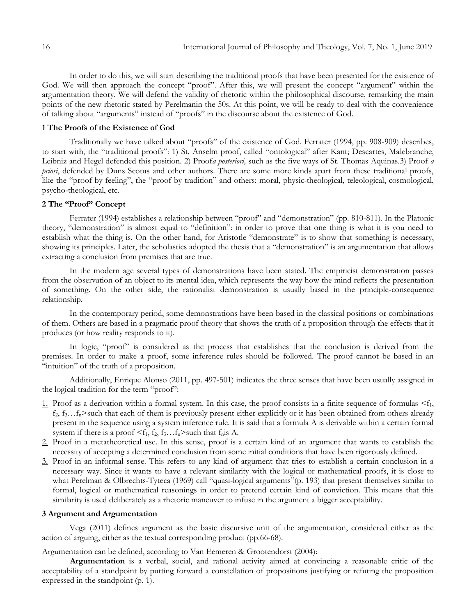In order to do this, we will start describing the traditional proofs that have been presented for the existence of God. We will then approach the concept "proof". After this, we will present the concept "argument" within the argumentation theory. We will defend the validity of rhetoric within the philosophical discourse, remarking the main points of the new rhetoric stated by Perelmanin the 50s. At this point, we will be ready to deal with the convenience of talking about "arguments" instead of "proofs" in the discourse about the existence of God.

# **1 The Proofs of the Existence of God**

Traditionally we have talked about "proofs" of the existence of God. Ferrater (1994, pp. 908-909) describes, to start with, the "traditional proofs": 1) St. Anselm proof, called "ontological" after Kant; Descartes, Malebranche, Leibniz and Hegel defended this position. 2) Proof*a posteriori,* such as the five ways of St. Thomas Aquinas.3) Proof *a priori*, defended by Duns Scotus and other authors. There are some more kinds apart from these traditional proofs, like the "proof by feeling", the "proof by tradition" and others: moral, physic-theological, teleological, cosmological, psycho-theological, etc.

### **2 The "Proof" Concept**

Ferrater (1994) establishes a relationship between "proof" and "demonstration" (pp. 810-811). In the Platonic theory, "demonstration" is almost equal to "definition": in order to prove that one thing is what it is you need to establish what the thing is. On the other hand, for Aristotle "demonstrate" is to show that something is necessary, showing its principles. Later, the scholastics adopted the thesis that a "demonstration" is an argumentation that allows extracting a conclusion from premises that are true.

In the modern age several types of demonstrations have been stated. The empiricist demonstration passes from the observation of an object to its mental idea, which represents the way how the mind reflects the presentation of something. On the other side, the rationalist demonstration is usually based in the principle-consequence relationship.

In the contemporary period, some demonstrations have been based in the classical positions or combinations of them. Others are based in a pragmatic proof theory that shows the truth of a proposition through the effects that it produces (or how reality responds to it).

In logic, "proof" is considered as the process that establishes that the conclusion is derived from the premises. In order to make a proof, some inference rules should be followed. The proof cannot be based in an "intuition" of the truth of a proposition.

Additionally, Enrique Alonso (2011, pp. 497-501) indicates the three senses that have been usually assigned in the logical tradition for the term "proof":

- 1. Proof as a derivation within a formal system. In this case, the proof consists in a finite sequence of formulas  $\leq f_1$ ,  $f_2, f_3...f_n$ >such that each of them is previously present either explicitly or it has been obtained from others already present in the sequence using a system inference rule. It is said that a formula A is derivable within a certain formal system if there is a proof  $\leq f_1, f_2, f_3...f_n$  > such that  $f_n$  is A.
- 2. Proof in a metatheoretical use. In this sense, proof is a certain kind of an argument that wants to establish the necessity of accepting a determined conclusion from some initial conditions that have been rigorously defined.
- 3. Proof in an informal sense. This refers to any kind of argument that tries to establish a certain conclusion in a necessary way. Since it wants to have a relevant similarity with the logical or mathematical proofs, it is close to what Perelman & Olbrechts-Tyteca (1969) call "quasi-logical arguments"(p. 193) that present themselves similar to formal, logical or mathematical reasonings in order to pretend certain kind of conviction. This means that this similarity is used deliberately as a rhetoric maneuver to infuse in the argument a bigger acceptability.

# **3 Argument and Argumentation**

Vega (2011) defines argument as the basic discursive unit of the argumentation, considered either as the action of arguing, either as the textual corresponding product (pp.66-68).

Argumentation can be defined, according to Van Eemeren & Grootendorst (2004):

**Argumentation** is a verbal, social, and rational activity aimed at convincing a reasonable critic of the acceptability of a standpoint by putting forward a constellation of propositions justifying or refuting the proposition expressed in the standpoint (p. 1).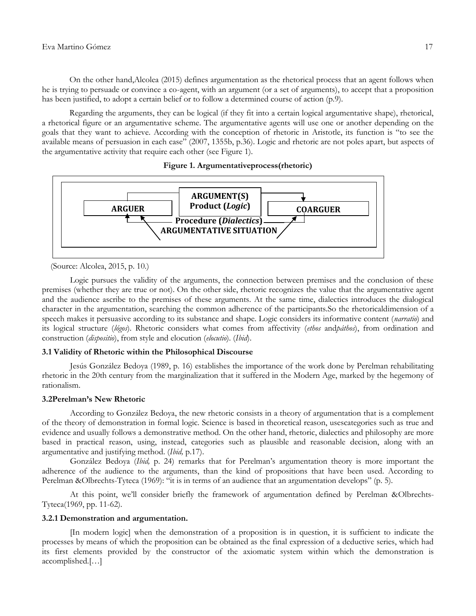On the other hand,Alcolea (2015) defines argumentation as the rhetorical process that an agent follows when he is trying to persuade or convince a co-agent, with an argument (or a set of arguments), to accept that a proposition has been justified, to adopt a certain belief or to follow a determined course of action (p.9).

Regarding the arguments, they can be logical (if they fit into a certain logical argumentative shape), rhetorical, a rhetorical figure or an argumentative scheme. The argumentative agents will use one or another depending on the goals that they want to achieve. According with the conception of rhetoric in Aristotle, its function is "to see the available means of persuasion in each case" (2007, 1355b, p.36). Logic and rhetoric are not poles apart, but aspects of the argumentative activity that require each other (see Figure 1).





(Source: Alcolea, 2015, p. 10.)

Logic pursues the validity of the arguments, the connection between premises and the conclusion of these premises (whether they are true or not). On the other side, rhetoric recognizes the value that the argumentative agent and the audience ascribe to the premises of these arguments. At the same time, dialectics introduces the dialogical character in the argumentation, searching the common adherence of the participants.So the rhetoricaldimension of a speech makes it persuasive according to its substance and shape. Logic considers its informative content (*narratio*) and its logical structure (*lógos*). Rhetoric considers what comes from affectivity (*ethos* and*páthos*), from ordination and construction (*dispositio*), from style and elocution (*elocutio*). (*Ibid*).

## **3.1 Validity of Rhetoric within the Philosophical Discourse**

Jesús González Bedoya (1989, p. 16) establishes the importance of the work done by Perelman rehabilitating rhetoric in the 20th century from the marginalization that it suffered in the Modern Age, marked by the hegemony of rationalism.

## **3.2Perelman's New Rhetoric**

According to González Bedoya, the new rhetoric consists in a theory of argumentation that is a complement of the theory of demonstration in formal logic. Science is based in theoretical reason, usescategories such as true and evidence and usually follows a demonstrative method. On the other hand, rhetoric, dialectics and philosophy are more based in practical reason, using, instead, categories such as plausible and reasonable decision, along with an argumentative and justifying method. (*Ibid,* p.17).

González Bedoya (*Ibid,* p. 24) remarks that for Perelman"s argumentation theory is more important the adherence of the audience to the arguments, than the kind of propositions that have been used. According to Perelman &Olbrechts-Tyteca (1969): "it is in terms of an audience that an argumentation develops" (p. 5).

At this point, we"ll consider briefly the framework of argumentation defined by Perelman &Olbrechts-Tyteca(1969, pp. 11-62).

#### **3.2.1 Demonstration and argumentation.**

[In modern logic] when the demonstration of a proposition is in question, it is sufficient to indicate the processes by means of which the proposition can be obtained as the final expression of a deductive series, which had its first elements provided by the constructor of the axiomatic system within which the demonstration is accomplished.[…]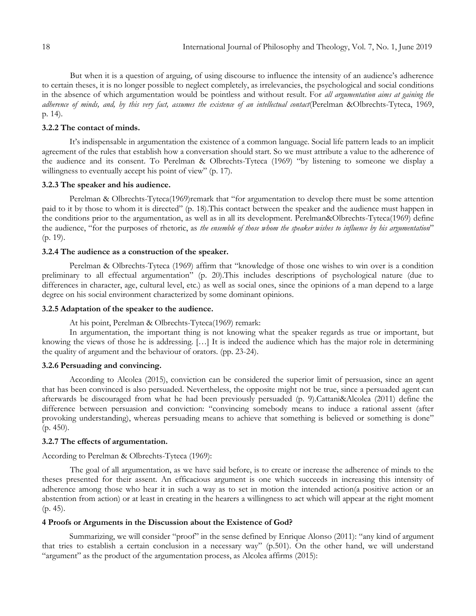But when it is a question of arguing, of using discourse to influence the intensity of an audience"s adherence to certain theses, it is no longer possible to neglect completely, as irrelevancies, the psychological and social conditions in the absence of which argumentation would be pointless and without result. For *all argumentation aims at gaining the adherence of minds, and, by this very fact, assumes the existence of an intellectual contact*(Perelman &Olbrechts-Tyteca, 1969, p. 14).

### **3.2.2 The contact of minds.**

It"s indispensable in argumentation the existence of a common language. Social life pattern leads to an implicit agreement of the rules that establish how a conversation should start. So we must attribute a value to the adherence of the audience and its consent. To Perelman & Olbrechts-Tyteca (1969) "by listening to someone we display a willingness to eventually accept his point of view" (p. 17).

#### **3.2.3 The speaker and his audience.**

Perelman & Olbrechts-Tyteca(1969)remark that "for argumentation to develop there must be some attention paid to it by those to whom it is directed" (p. 18).This contact between the speaker and the audience must happen in the conditions prior to the argumentation, as well as in all its development. Perelman&Olbrechts-Tyteca(1969) define the audience, "for the purposes of rhetoric, as *the ensemble of those whom the speaker wishes to influence by his argumentation*" (p. 19).

## **3.2.4 The audience as a construction of the speaker.**

Perelman & Olbrechts-Tyteca (1969) affirm that "knowledge of those one wishes to win over is a condition preliminary to all effectual argumentation" (p. 20).This includes descriptions of psychological nature (due to differences in character, age, cultural level, etc.) as well as social ones, since the opinions of a man depend to a large degree on his social environment characterized by some dominant opinions.

## **3.2.5 Adaptation of the speaker to the audience.**

At his point, Perelman & Olbrechts-Tyteca(1969) remark:

In argumentation, the important thing is not knowing what the speaker regards as true or important, but knowing the views of those he is addressing. […] It is indeed the audience which has the major role in determining the quality of argument and the behaviour of orators. (pp. 23-24).

#### **3.2.6 Persuading and convincing.**

According to Alcolea (2015), conviction can be considered the superior limit of persuasion, since an agent that has been convinced is also persuaded. Nevertheless, the opposite might not be true, since a persuaded agent can afterwards be discouraged from what he had been previously persuaded (p. 9).Cattani&Alcolea (2011) define the difference between persuasion and conviction: "convincing somebody means to induce a rational assent (after provoking understanding), whereas persuading means to achieve that something is believed or something is done" (p. 450).

### **3.2.7 The effects of argumentation.**

According to Perelman & Olbrechts-Tyteca (1969):

The goal of all argumentation, as we have said before, is to create or increase the adherence of minds to the theses presented for their assent. An efficacious argument is one which succeeds in increasing this intensity of adherence among those who hear it in such a way as to set in motion the intended action(a positive action or an abstention from action) or at least in creating in the hearers a willingness to act which will appear at the right moment (p. 45).

#### **4 Proofs or Arguments in the Discussion about the Existence of God?**

Summarizing, we will consider "proof" in the sense defined by Enrique Alonso (2011): "any kind of argument that tries to establish a certain conclusion in a necessary way" (p.501). On the other hand, we will understand "argument" as the product of the argumentation process, as Alcolea affirms (2015):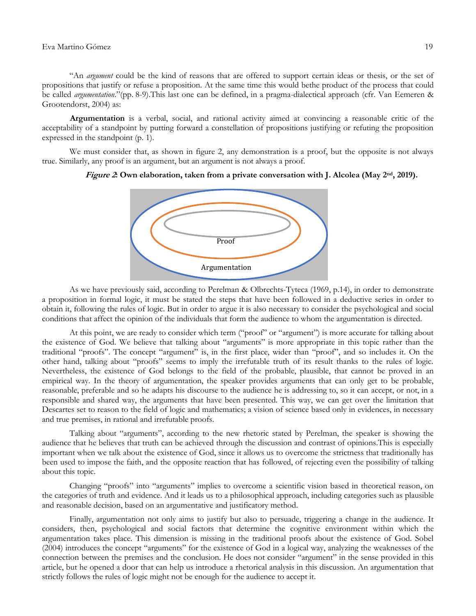"An *argument* could be the kind of reasons that are offered to support certain ideas or thesis, or the set of propositions that justify or refuse a proposition*.* At the same time this would bethe product of the process that could be called *argumentation*."(pp. 8-9).This last one can be defined, in a pragma-dialectical approach (cfr. Van Eemeren & Grootendorst, 2004) as:

**Argumentation** is a verbal, social, and rational activity aimed at convincing a reasonable critic of the acceptability of a standpoint by putting forward a constellation of propositions justifying or refuting the proposition expressed in the standpoint (p. 1).

We must consider that, as shown in figure 2, any demonstration is a proof, but the opposite is not always true. Similarly, any proof is an argument, but an argument is not always a proof.



**Figure 2: Own elaboration, taken from a private conversation with J. Alcolea (May 2nd, 2019).**

As we have previously said, according to Perelman & Olbrechts-Tyteca (1969, p.14), in order to demonstrate a proposition in formal logic, it must be stated the steps that have been followed in a deductive series in order to obtain it, following the rules of logic. But in order to argue it is also necessary to consider the psychological and social conditions that affect the opinion of the individuals that form the audience to whom the argumentation is directed.

At this point, we are ready to consider which term ("proof" or "argument") is more accurate for talking about the existence of God. We believe that talking about "arguments" is more appropriate in this topic rather than the traditional "proofs". The concept "argument" is, in the first place, wider than "proof", and so includes it. On the other hand, talking about "proofs" seems to imply the irrefutable truth of its result thanks to the rules of logic. Nevertheless, the existence of God belongs to the field of the probable, plausible, that cannot be proved in an empirical way. In the theory of argumentation, the speaker provides arguments that can only get to be probable, reasonable, preferable and so he adapts his discourse to the audience he is addressing to, so it can accept, or not, in a responsible and shared way, the arguments that have been presented. This way, we can get over the limitation that Descartes set to reason to the field of logic and mathematics; a vision of science based only in evidences, in necessary and true premises, in rational and irrefutable proofs.

Talking about "arguments", according to the new rhetoric stated by Perelman, the speaker is showing the audience that he believes that truth can be achieved through the discussion and contrast of opinions.This is especially important when we talk about the existence of God, since it allows us to overcome the strictness that traditionally has been used to impose the faith, and the opposite reaction that has followed, of rejecting even the possibility of talking about this topic.

Changing "proofs" into "arguments" implies to overcome a scientific vision based in theoretical reason, on the categories of truth and evidence. And it leads us to a philosophical approach, including categories such as plausible and reasonable decision, based on an argumentative and justificatory method.

Finally, argumentation not only aims to justify but also to persuade, triggering a change in the audience. It considers, then, psychological and social factors that determine the cognitive environment within which the argumentation takes place. This dimension is missing in the traditional proofs about the existence of God. Sobel (2004) introduces the concept "arguments" for the existence of God in a logical way, analyzing the weaknesses of the connection between the premises and the conclusion. He does not consider "argument" in the sense provided in this article, but he opened a door that can help us introduce a rhetorical analysis in this discussion. An argumentation that strictly follows the rules of logic might not be enough for the audience to accept it.